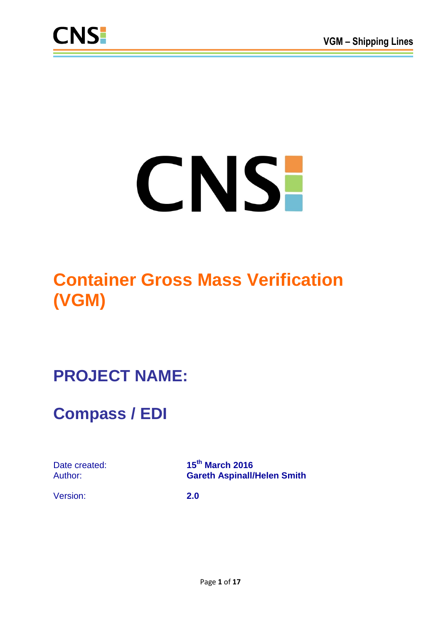

# CNS-

# **Container Gross Mass Verification (VGM)**

# **PROJECT NAME:**

# **Compass / EDI**

Date created: **15th March 2016** Author: **Gareth Aspinall/Helen Smith**

Version: **2.0**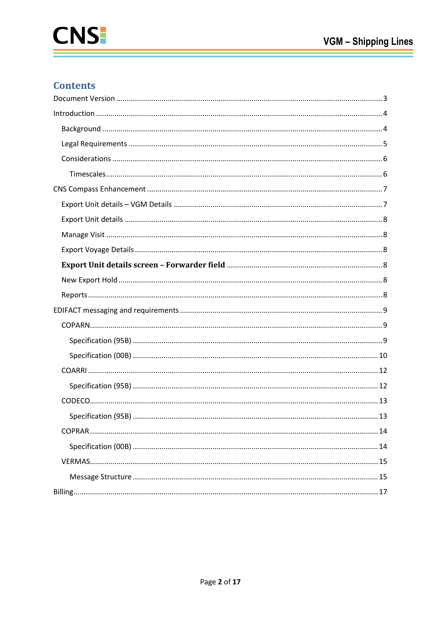# **Contents**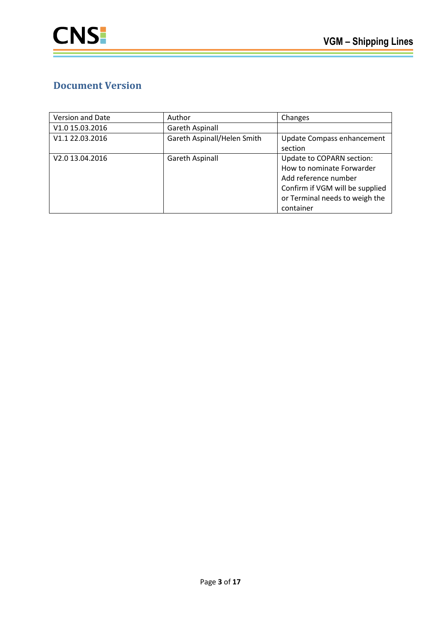# <span id="page-2-0"></span>**Document Version**

| Version and Date | Author                      | Changes                         |
|------------------|-----------------------------|---------------------------------|
| V1.0 15.03.2016  | <b>Gareth Aspinall</b>      |                                 |
| V1.1 22.03.2016  | Gareth Aspinall/Helen Smith | Update Compass enhancement      |
|                  |                             | section                         |
| V2.0 13.04.2016  | Gareth Aspinall             | Update to COPARN section:       |
|                  |                             | How to nominate Forwarder       |
|                  |                             | Add reference number            |
|                  |                             | Confirm if VGM will be supplied |
|                  |                             | or Terminal needs to weigh the  |
|                  |                             | container                       |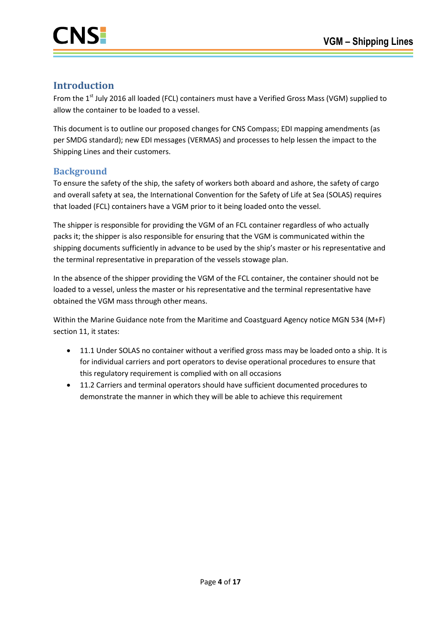

# <span id="page-3-0"></span>**Introduction**

From the 1<sup>st</sup> July 2016 all loaded (FCL) containers must have a Verified Gross Mass (VGM) supplied to allow the container to be loaded to a vessel.

This document is to outline our proposed changes for CNS Compass; EDI mapping amendments (as per SMDG standard); new EDI messages (VERMAS) and processes to help lessen the impact to the Shipping Lines and their customers.

# <span id="page-3-1"></span>**Background**

To ensure the safety of the ship, the safety of workers both aboard and ashore, the safety of cargo and overall safety at sea, the International Convention for the Safety of Life at Sea (SOLAS) requires that loaded (FCL) containers have a VGM prior to it being loaded onto the vessel.

The shipper is responsible for providing the VGM of an FCL container regardless of who actually packs it; the shipper is also responsible for ensuring that the VGM is communicated within the shipping documents sufficiently in advance to be used by the ship's master or his representative and the terminal representative in preparation of the vessels stowage plan.

In the absence of the shipper providing the VGM of the FCL container, the container should not be loaded to a vessel, unless the master or his representative and the terminal representative have obtained the VGM mass through other means.

Within the Marine Guidance note from the Maritime and Coastguard Agency notice MGN 534 (M+F) section 11, it states:

- 11.1 Under SOLAS no container without a verified gross mass may be loaded onto a ship. It is for individual carriers and port operators to devise operational procedures to ensure that this regulatory requirement is complied with on all occasions
- 11.2 Carriers and terminal operators should have sufficient documented procedures to demonstrate the manner in which they will be able to achieve this requirement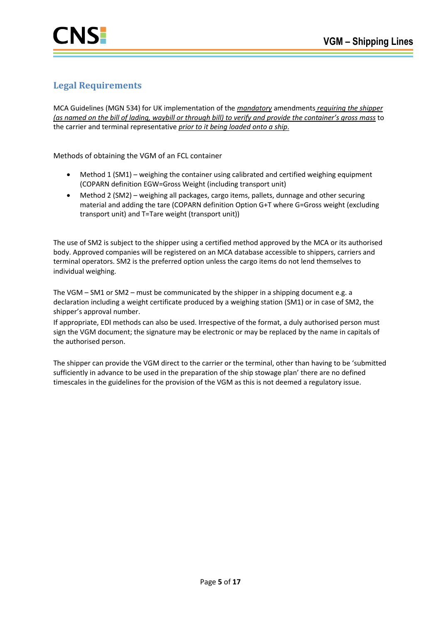# <span id="page-4-0"></span>**Legal Requirements**

MCA Guidelines (MGN 534) for UK implementation of the *mandatory* amendments *requiring the shipper (as named on the bill of lading, waybill or through bill) to verify and provide the container's gross mass* to the carrier and terminal representative *prior to it being loaded onto a ship*.

Methods of obtaining the VGM of an FCL container

- Method 1 (SM1) weighing the container using calibrated and certified weighing equipment (COPARN definition EGW=Gross Weight (including transport unit)
- Method 2 (SM2) weighing all packages, cargo items, pallets, dunnage and other securing material and adding the tare (COPARN definition Option G+T where G=Gross weight (excluding transport unit) and T=Tare weight (transport unit))

The use of SM2 is subject to the shipper using a certified method approved by the MCA or its authorised body. Approved companies will be registered on an MCA database accessible to shippers, carriers and terminal operators. SM2 is the preferred option unless the cargo items do not lend themselves to individual weighing.

The VGM – SM1 or SM2 – must be communicated by the shipper in a shipping document e.g. a declaration including a weight certificate produced by a weighing station (SM1) or in case of SM2, the shipper's approval number.

If appropriate, EDI methods can also be used. Irrespective of the format, a duly authorised person must sign the VGM document; the signature may be electronic or may be replaced by the name in capitals of the authorised person.

The shipper can provide the VGM direct to the carrier or the terminal, other than having to be 'submitted sufficiently in advance to be used in the preparation of the ship stowage plan' there are no defined timescales in the guidelines for the provision of the VGM as this is not deemed a regulatory issue.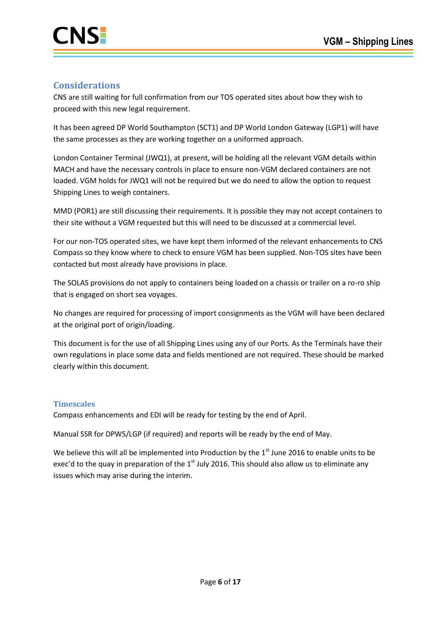# <span id="page-5-0"></span>**Considerations**

CNS are still waiting for full confirmation from our TOS operated sites about how they wish to proceed with this new legal requirement.

It has been agreed DP World Southampton (SCT1) and DP World London Gateway (LGP1) will have the same processes as they are working together on a uniformed approach.

London Container Terminal (JWQ1), at present, will be holding all the relevant VGM details within MACH and have the necessary controls in place to ensure non-VGM declared containers are not loaded. VGM holds for JWQ1 will not be required but we do need to allow the option to request Shipping Lines to weigh containers.

MMD (POR1) are still discussing their requirements. It is possible they may not accept containers to their site without a VGM requested but this will need to be discussed at a commercial level.

For our non-TOS operated sites, we have kept them informed of the relevant enhancements to CNS Compass so they know where to check to ensure VGM has been supplied. Non-TOS sites have been contacted but most already have provisions in place.

The SOLAS provisions do not apply to containers being loaded on a chassis or trailer on a ro-ro ship that is engaged on short sea voyages.

No changes are required for processing of import consignments as the VGM will have been declared at the original port of origin/loading.

This document is for the use of all Shipping Lines using any of our Ports. As the Terminals have their own regulations in place some data and fields mentioned are not required. These should be marked clearly within this document.

#### <span id="page-5-1"></span>**Timescales**

Compass enhancements and EDI will be ready for testing by the end of April.

Manual SSR for DPWS/LGP (if required) and reports will be ready by the end of May.

We believe this will all be implemented into Production by the 1<sup>st</sup> June 2016 to enable units to be exec'd to the quay in preparation of the  $1<sup>st</sup>$  July 2016. This should also allow us to eliminate any issues which may arise during the interim.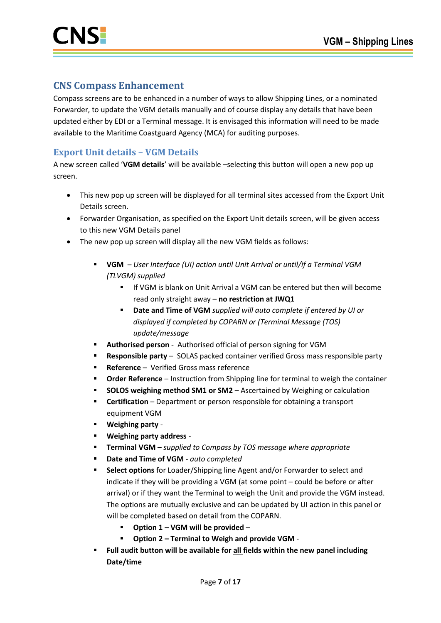# <span id="page-6-0"></span>**CNS Compass Enhancement**

Compass screens are to be enhanced in a number of ways to allow Shipping Lines, or a nominated Forwarder, to update the VGM details manually and of course display any details that have been updated either by EDI or a Terminal message. It is envisaged this information will need to be made available to the Maritime Coastguard Agency (MCA) for auditing purposes.

# <span id="page-6-1"></span>**Export Unit details – VGM Details**

A new screen called '**VGM details**' will be available –selecting this button will open a new pop up screen.

- This new pop up screen will be displayed for all terminal sites accessed from the Export Unit Details screen.
- Forwarder Organisation, as specified on the Export Unit details screen, will be given access to this new VGM Details panel
- The new pop up screen will display all the new VGM fields as follows:
	- **VGM** *User Interface (UI) action until Unit Arrival or until/if a Terminal VGM (TLVGM) supplied* 
		- **If VGM is blank on Unit Arrival a VGM can be entered but then will become** read only straight away – **no restriction at JWQ1**
		- **Date and Time of VGM** *supplied will auto complete if entered by UI or displayed if completed by COPARN or (Terminal Message (TOS) update/message*
	- **Authorised person** Authorised official of person signing for VGM
	- **Responsible party** SOLAS packed container verified Gross mass responsible party
	- **Reference** Verified Gross mass reference
	- **Order Reference** Instruction from Shipping line for terminal to weigh the container
	- **SOLOS weighing method SM1 or SM2** Ascertained by Weighing or calculation
	- **Certification** Department or person responsible for obtaining a transport equipment VGM
	- **Weighing party** -
	- **Weighing party address** -
	- **Terminal VGM** *supplied to Compass by TOS message where appropriate*
	- **Date and Time of VGM** *auto completed*
	- **Select options** for Loader/Shipping line Agent and/or Forwarder to select and indicate if they will be providing a VGM (at some point – could be before or after arrival) or if they want the Terminal to weigh the Unit and provide the VGM instead. The options are mutually exclusive and can be updated by UI action in this panel or will be completed based on detail from the COPARN.
		- **Option 1 – VGM will be provided** –
		- **Option 2 – Terminal to Weigh and provide VGM** -
	- **Full audit button will be available for all fields within the new panel including Date/time**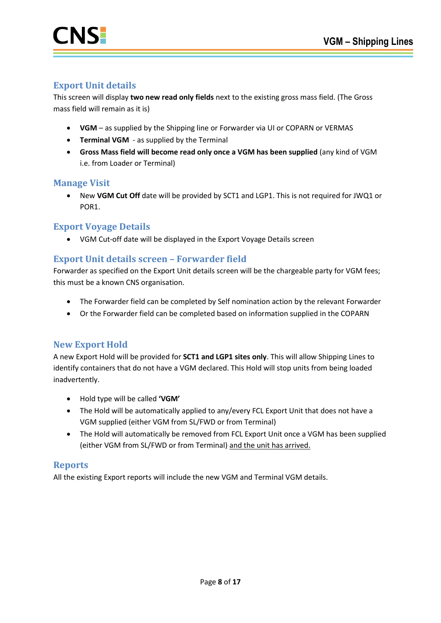

# <span id="page-7-0"></span>**Export Unit details**

This screen will display **two new read only fields** next to the existing gross mass field. (The Gross mass field will remain as it is)

- **VGM** as supplied by the Shipping line or Forwarder via UI or COPARN or VERMAS
- **Terminal VGM** as supplied by the Terminal
- **Gross Mass field will become read only once a VGM has been supplied** (any kind of VGM i.e. from Loader or Terminal)

#### <span id="page-7-1"></span>**Manage Visit**

 New **VGM Cut Off** date will be provided by SCT1 and LGP1. This is not required for JWQ1 or POR1.

#### <span id="page-7-2"></span>**Export Voyage Details**

VGM Cut-off date will be displayed in the Export Voyage Details screen

# <span id="page-7-3"></span>**Export Unit details screen – Forwarder field**

Forwarder as specified on the Export Unit details screen will be the chargeable party for VGM fees; this must be a known CNS organisation.

- The Forwarder field can be completed by Self nomination action by the relevant Forwarder
- Or the Forwarder field can be completed based on information supplied in the COPARN

# <span id="page-7-4"></span>**New Export Hold**

A new Export Hold will be provided for **SCT1 and LGP1 sites only**. This will allow Shipping Lines to identify containers that do not have a VGM declared. This Hold will stop units from being loaded inadvertently.

- Hold type will be called **'VGM'**
- The Hold will be automatically applied to any/every FCL Export Unit that does not have a VGM supplied (either VGM from SL/FWD or from Terminal)
- The Hold will automatically be removed from FCL Export Unit once a VGM has been supplied (either VGM from SL/FWD or from Terminal) and the unit has arrived.

#### <span id="page-7-5"></span>**Reports**

All the existing Export reports will include the new VGM and Terminal VGM details.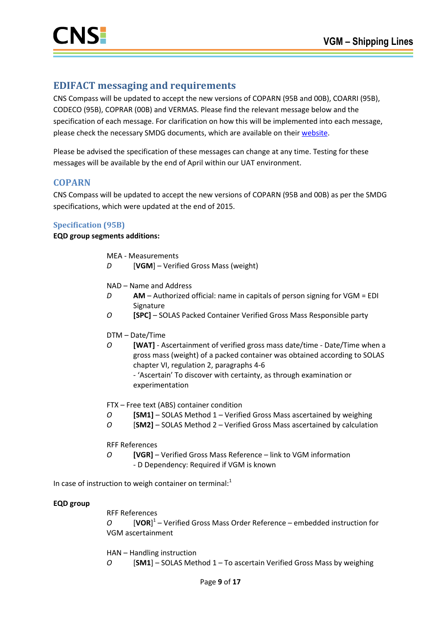# <span id="page-8-0"></span>**EDIFACT messaging and requirements**

CNS Compass will be updated to accept the new versions of COPARN (95B and 00B), COARRI (95B), CODECO (95B), COPRAR (00B) and VERMAS. Please find the relevant message below and the specification of each message. For clarification on how this will be implemented into each message, please check the necessary SMDG documents, which are available on their [website.](http://www.smdg.org/index.php/documents/container-messages/)

Please be advised the specification of these messages can change at any time. Testing for these messages will be available by the end of April within our UAT environment.

# <span id="page-8-1"></span>**COPARN**

CNS Compass will be updated to accept the new versions of COPARN (95B and 00B) as per the SMDG specifications, which were updated at the end of 2015.

#### <span id="page-8-2"></span>**Specification (95B)**

**EQD group segments additions:**

- MEA Measurements
- *D* [**VGM**] Verified Gross Mass (weight)
- NAD Name and Address
- *D* **AM**  Authorized official: name in capitals of person signing for VGM = EDI Signature
- *O* **[SPC]**  SOLAS Packed Container Verified Gross Mass Responsible party
- DTM Date/Time
- *O* **[WAT]**  Ascertainment of verified gross mass date/time Date/Time when a gross mass (weight) of a packed container was obtained according to SOLAS chapter VI, regulation 2, paragraphs 4-6 - 'Ascertain' To discover with certainty, as through examination or experimentation

FTX – Free text (ABS) container condition

- *O* **[SM1]**  SOLAS Method 1 Verified Gross Mass ascertained by weighing
- *O* [**SM2]**  SOLAS Method 2 Verified Gross Mass ascertained by calculation

RFF References

*O* **[VGR]** – Verified Gross Mass Reference – link to VGM information - D Dependency: Required if VGM is known

In case of instruction to weigh container on terminal: $<sup>1</sup>$ </sup>

#### **EQD group**

RFF References *O* [**VOR**] 1 – Verified Gross Mass Order Reference – embedded instruction for VGM ascertainment

HAN – Handling instruction *O* [**SM1**] – SOLAS Method 1 – To ascertain Verified Gross Mass by weighing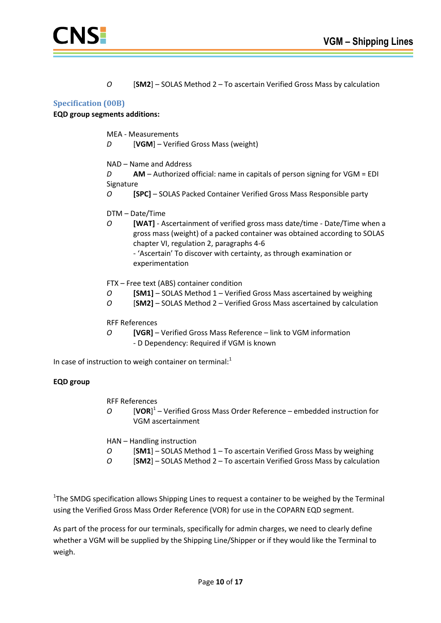

*O* [**SM2**] – SOLAS Method 2 – To ascertain Verified Gross Mass by calculation

#### <span id="page-9-0"></span>**Specification (00B)**

#### **EQD group segments additions:**

- MEA Measurements
- *D* [**VGM**] Verified Gross Mass (weight)
- NAD Name and Address
- *D* **AM**  Authorized official: name in capitals of person signing for VGM = EDI Signature
- *O* **[SPC]**  SOLAS Packed Container Verified Gross Mass Responsible party
- DTM Date/Time
- *O* **[WAT]**  Ascertainment of verified gross mass date/time Date/Time when a gross mass (weight) of a packed container was obtained according to SOLAS chapter VI, regulation 2, paragraphs 4-6

- 'Ascertain' To discover with certainty, as through examination or experimentation

- FTX Free text (ABS) container condition
- *O* **[SM1]**  SOLAS Method 1 Verified Gross Mass ascertained by weighing
- *O* [**SM2]**  SOLAS Method 2 Verified Gross Mass ascertained by calculation

RFF References

*O* **[VGR]** – Verified Gross Mass Reference – link to VGM information - D Dependency: Required if VGM is known

In case of instruction to weigh container on terminal: $1$ 

#### **EQD group**

- RFF References
- *O* [**VOR**] 1 Verified Gross Mass Order Reference embedded instruction for VGM ascertainment
- HAN Handling instruction
- *O* [**SM1**] SOLAS Method 1 To ascertain Verified Gross Mass by weighing
- *O* [**SM2**] SOLAS Method 2 To ascertain Verified Gross Mass by calculation

<sup>1</sup>The SMDG specification allows Shipping Lines to request a container to be weighed by the Terminal using the Verified Gross Mass Order Reference (VOR) for use in the COPARN EQD segment.

As part of the process for our terminals, specifically for admin charges, we need to clearly define whether a VGM will be supplied by the Shipping Line/Shipper or if they would like the Terminal to weigh.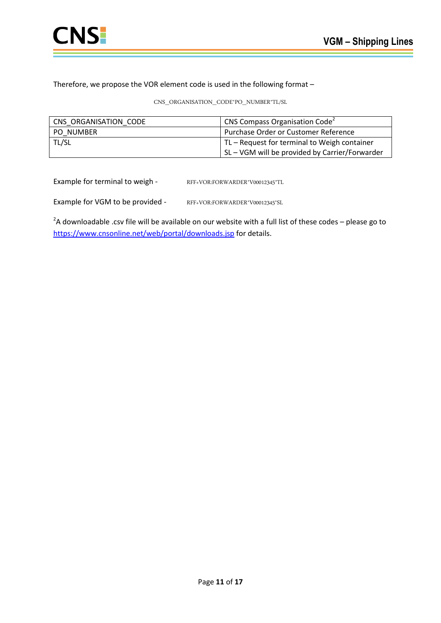

Therefore, we propose the VOR element code is used in the following format –

CNS\_ORGANISATION\_CODE\*PO\_NUMBER\*TL/SL

| CNS ORGANISATION CODE | CNS Compass Organisation Code <sup>2</sup>     |
|-----------------------|------------------------------------------------|
| <b>PO NUMBER</b>      | <b>Purchase Order or Customer Reference</b>    |
| TL/SL                 | TL – Request for terminal to Weigh container   |
|                       | SL – VGM will be provided by Carrier/Forwarder |

Example for terminal to weigh - RFF+VOR:FORWARDER\*V00012345\*TL

Example for VGM to be provided - RFF+VOR:FORWARDER\*V00012345\*SL

<sup>2</sup>A downloadable .csv file will be available on our website with a full list of these codes – please go to <https://www.cnsonline.net/web/portal/downloads.jsp> for details.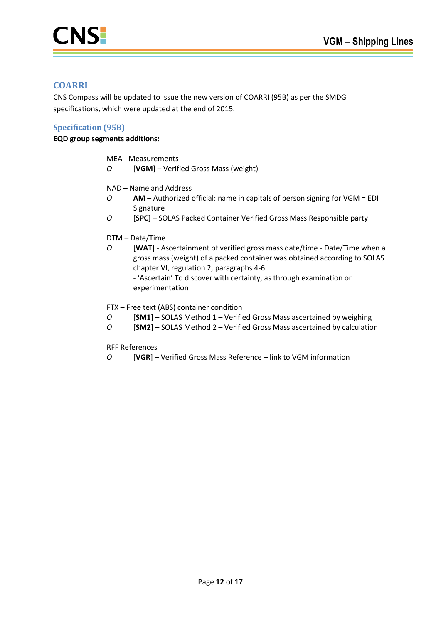

# <span id="page-11-0"></span>**COARRI**

CNS Compass will be updated to issue the new version of COARRI (95B) as per the SMDG specifications, which were updated at the end of 2015.

#### <span id="page-11-1"></span>**Specification (95B)**

#### **EQD group segments additions:**

- MEA Measurements
- *O* [**VGM**] Verified Gross Mass (weight)
- NAD Name and Address
- *O* **AM**  Authorized official: name in capitals of person signing for VGM = EDI Signature
- *O* [**SPC**] SOLAS Packed Container Verified Gross Mass Responsible party

#### DTM – Date/Time

- *O* [**WAT**] Ascertainment of verified gross mass date/time Date/Time when a gross mass (weight) of a packed container was obtained according to SOLAS chapter VI, regulation 2, paragraphs 4-6 - 'Ascertain' To discover with certainty, as through examination or experimentation
- FTX Free text (ABS) container condition
- *O* [**SM1**] SOLAS Method 1 Verified Gross Mass ascertained by weighing
- *O* [**SM2**] SOLAS Method 2 Verified Gross Mass ascertained by calculation

RFF References

*O* [**VGR**] – Verified Gross Mass Reference – link to VGM information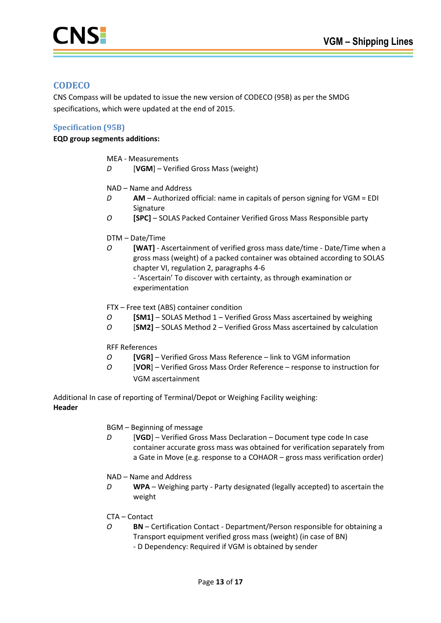

# <span id="page-12-0"></span>**CODECO**

CNS Compass will be updated to issue the new version of CODECO (95B) as per the SMDG specifications, which were updated at the end of 2015.

#### <span id="page-12-1"></span>**Specification (95B)**

#### **EQD group segments additions:**

- MEA Measurements
- *D* [**VGM**] Verified Gross Mass (weight)
- NAD Name and Address
- *D* **AM**  Authorized official: name in capitals of person signing for VGM = EDI Signature
- *O* **[SPC]**  SOLAS Packed Container Verified Gross Mass Responsible party

#### DTM – Date/Time

- *O* **[WAT]**  Ascertainment of verified gross mass date/time Date/Time when a gross mass (weight) of a packed container was obtained according to SOLAS chapter VI, regulation 2, paragraphs 4-6 - 'Ascertain' To discover with certainty, as through examination or experimentation
- FTX Free text (ABS) container condition
- *O* **[SM1]**  SOLAS Method 1 Verified Gross Mass ascertained by weighing
- *O* [**SM2]**  SOLAS Method 2 Verified Gross Mass ascertained by calculation

RFF References

- *O* **[VGR]**  Verified Gross Mass Reference link to VGM information
- *O* [**VOR**] Verified Gross Mass Order Reference response to instruction for VGM ascertainment

Additional In case of reporting of Terminal/Depot or Weighing Facility weighing: **Header**

- BGM Beginning of message
- *D* [**VGD**] Verified Gross Mass Declaration Document type code In case container accurate gross mass was obtained for verification separately from a Gate in Move (e.g. response to a COHAOR – gross mass verification order)
- NAD Name and Address
- *D* **WPA**  Weighing party Party designated (legally accepted) to ascertain the weight
- CTA Contact
- *O* **BN**  Certification Contact Department/Person responsible for obtaining a Transport equipment verified gross mass (weight) (in case of BN)
	- D Dependency: Required if VGM is obtained by sender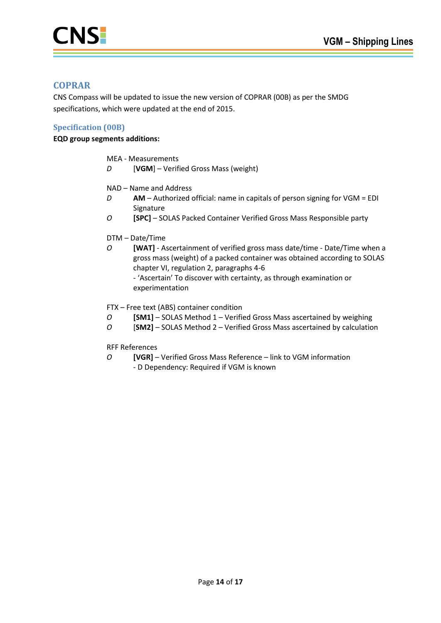

# <span id="page-13-0"></span>**COPRAR**

CNS Compass will be updated to issue the new version of COPRAR (00B) as per the SMDG specifications, which were updated at the end of 2015.

#### <span id="page-13-1"></span>**Specification (00B)**

#### **EQD group segments additions:**

- MEA Measurements
- *D* [**VGM**] Verified Gross Mass (weight)
- NAD Name and Address
- *D* **AM**  Authorized official: name in capitals of person signing for VGM = EDI Signature
- *O* **[SPC]**  SOLAS Packed Container Verified Gross Mass Responsible party

#### DTM – Date/Time

*O* **[WAT]** - Ascertainment of verified gross mass date/time - Date/Time when a gross mass (weight) of a packed container was obtained according to SOLAS chapter VI, regulation 2, paragraphs 4-6 - 'Ascertain' To discover with certainty, as through examination or experimentation

FTX – Free text (ABS) container condition

- *O* **[SM1]**  SOLAS Method 1 Verified Gross Mass ascertained by weighing
- *O* [**SM2]**  SOLAS Method 2 Verified Gross Mass ascertained by calculation

RFF References

*O* **[VGR]** – Verified Gross Mass Reference – link to VGM information - D Dependency: Required if VGM is known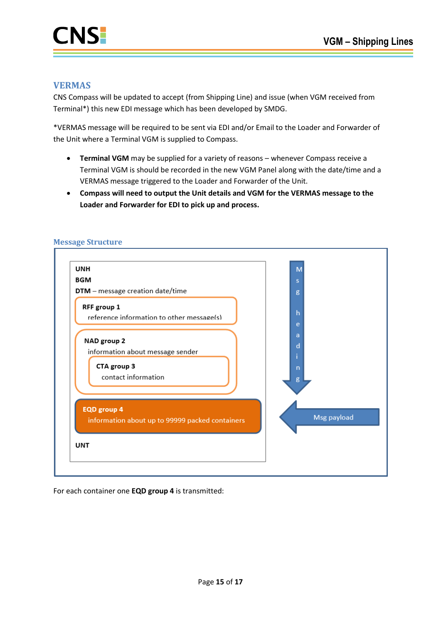

### <span id="page-14-0"></span>**VERMAS**

CNS Compass will be updated to accept (from Shipping Line) and issue (when VGM received from Terminal\*) this new EDI message which has been developed by SMDG.

\*VERMAS message will be required to be sent via EDI and/or Email to the Loader and Forwarder of the Unit where a Terminal VGM is supplied to Compass.

- **Terminal VGM** may be supplied for a variety of reasons whenever Compass receive a Terminal VGM is should be recorded in the new VGM Panel along with the date/time and a VERMAS message triggered to the Loader and Forwarder of the Unit.
- **Compass will need to output the Unit details and VGM for the VERMAS message to the Loader and Forwarder for EDI to pick up and process.**



#### <span id="page-14-1"></span>**Message Structure**

For each container one **EQD group 4** is transmitted: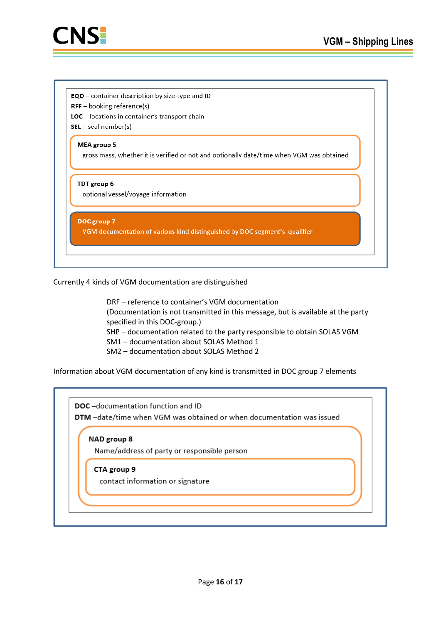

- **EQD** container description by size-type and ID
- $RFF -$  booking reference(s)
- LOC locations in container's transport chain
- $SEL seal number(s)$

#### MEA group 5

gross mass, whether it is verified or not and optionally date/time when VGM was obtained

#### TDT group 6

optional vessel/voyage information

DOC group 7

VGM documentation of various kind distinguished by DOC segment's qualifier

Currently 4 kinds of VGM documentation are distinguished

DRF – reference to container's VGM documentation (Documentation is not transmitted in this message, but is available at the party specified in this DOC-group.) SHP – documentation related to the party responsible to obtain SOLAS VGM SM1 – documentation about SOLAS Method 1 SM2 – documentation about SOLAS Method 2

Information about VGM documentation of any kind is transmitted in DOC group 7 elements

DOC-documentation function and ID DTM -date/time when VGM was obtained or when documentation was issued

#### NAD group 8

Name/address of party or responsible person

#### CTA group 9

contact information or signature